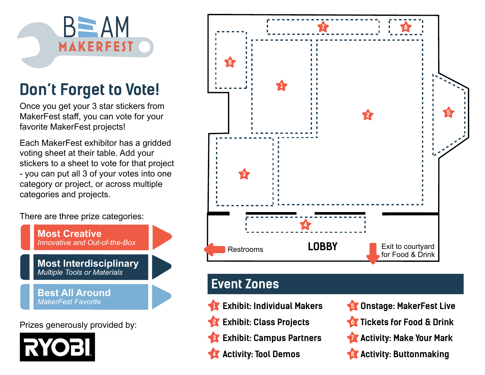

# **Don't Forget to Vote!**

Once you get your 3 star stickers from MakerFest staff, you can vote for your favorite MakerFest projects!

Each MakerFest exhibitor has a gridded voting sheet at their table. Add your stickers to a sheet to vote for that project - you can put all 3 of your votes into one category or project, or across multiple categories and projects.

There are three prize categories:



Prizes generously provided by:





## **Event Zones**

- **1**
- **2**
- **3**
- **Activity: Tool Demos Activity: Buttonmaking 8 4**
- **Exhibit: Individual Makers Constage: MakerFest Live Exhibit: Class Projects Tickets for Food & Drink 6 Exhibit: Campus Partners Campus Factivity: Make Your Mark 5 7**